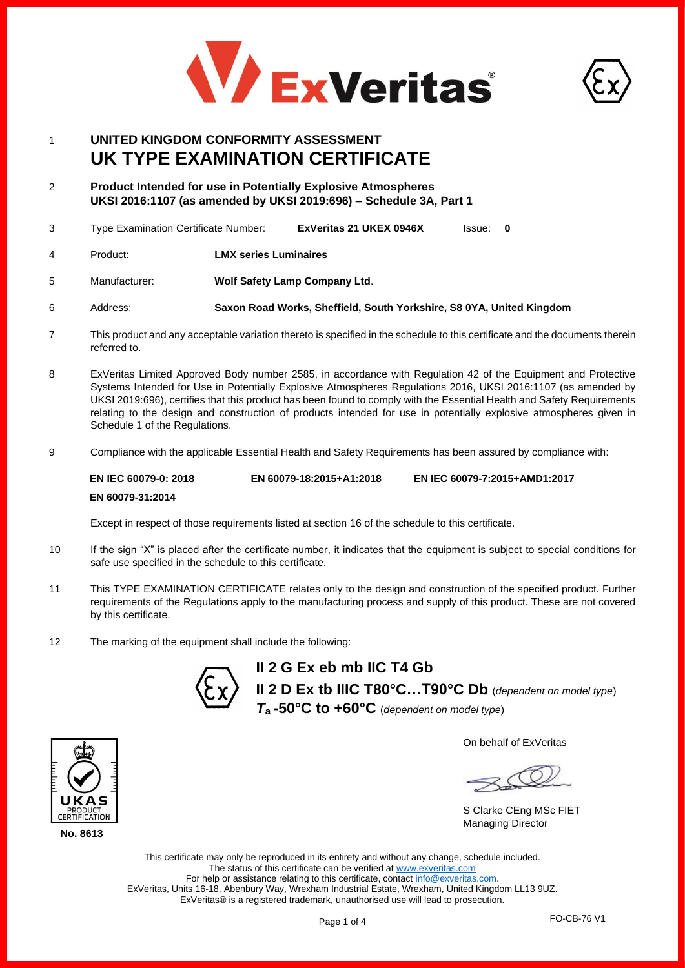



# 1 **UNITED KINGDOM CONFORMITY ASSESSMENT UK TYPE EXAMINATION CERTIFICATE**

- 2 **Product Intended for use in Potentially Explosive Atmospheres UKSI 2016:1107 (as amended by UKSI 2019:696) – Schedule 3A, Part 1**
- 3 Type Examination Certificate Number: **ExVeritas 21 UKEX 0946X** Issue: **0**
- 4 Product: **LMX series Luminaires**
- 5 Manufacturer: **Wolf Safety Lamp Company Ltd**.
- 6 Address: **Saxon Road Works, Sheffield, South Yorkshire, S8 0YA, United Kingdom**
- 7 This product and any acceptable variation thereto is specified in the schedule to this certificate and the documents therein referred to.
- 8 ExVeritas Limited Approved Body number 2585, in accordance with Regulation 42 of the Equipment and Protective Systems Intended for Use in Potentially Explosive Atmospheres Regulations 2016, UKSI 2016:1107 (as amended by UKSI 2019:696), certifies that this product has been found to comply with the Essential Health and Safety Requirements relating to the design and construction of products intended for use in potentially explosive atmospheres given in Schedule 1 of the Regulations.
- 9 Compliance with the applicable Essential Health and Safety Requirements has been assured by compliance with:

#### **EN IEC 60079-0: 2018 EN 60079-31:2014 EN 60079-18:2015+A1:2018 EN IEC 60079-7:2015+AMD1:2017**

Except in respect of those requirements listed at section 16 of the schedule to this certificate.

- 10 If the sign "X" is placed after the certificate number, it indicates that the equipment is subject to special conditions for safe use specified in the schedule to this certificate.
- 11 This TYPE EXAMINATION CERTIFICATE relates only to the design and construction of the specified product. Further requirements of the Regulations apply to the manufacturing process and supply of this product. These are not covered by this certificate.
- 12 The marking of the equipment shall include the following:



**II 2 G Ex eb mb IIC T4 Gb II 2 D Ex tb IIIC T80°C…T90°C Db** (*dependent on model type*) *T***a -50°C to +60°C** (*dependent on model type*)

On behalf of ExVeritas

S Clarke CEng MSc FIET Managing Director

This certificate may only be reproduced in its entirety and without any change, schedule included. The status of this certificate can be verified a[t www.exveritas.com](http://www.exveritas.com/) For help or assistance relating to this certificate, contact [info@exveritas.com.](mailto:info@exveritas.com) ExVeritas, Units 16-18, Abenbury Way, Wrexham Industrial Estate, Wrexham, United Kingdom LL13 9UZ. ExVeritas® is a registered trademark, unauthorised use will lead to prosecution.



**No. 8613**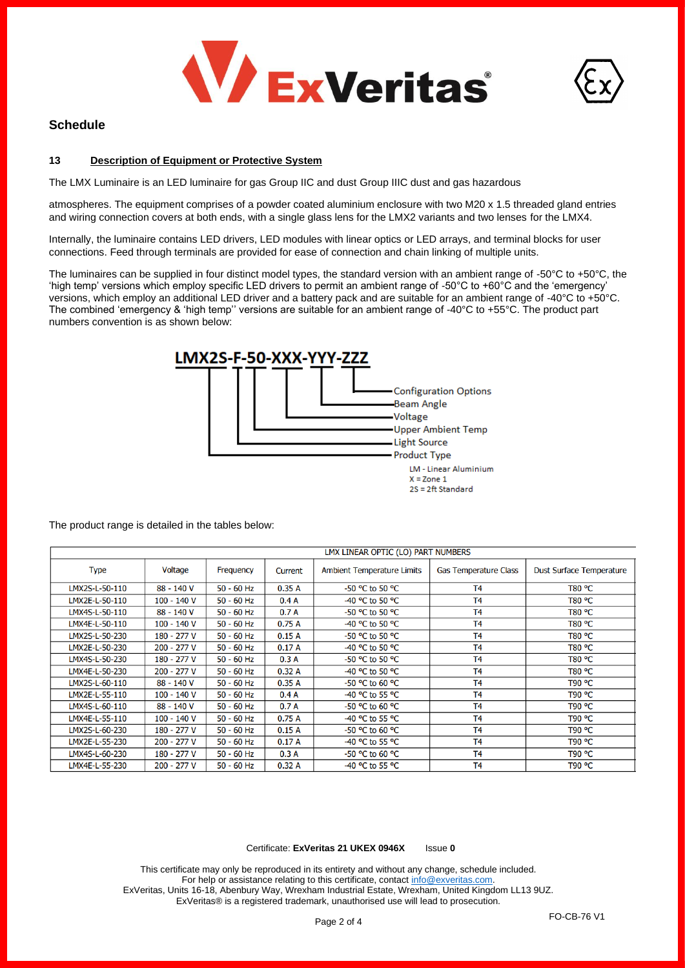



# **Schedule**

### **13 Description of Equipment or Protective System**

The LMX Luminaire is an LED luminaire for gas Group IIC and dust Group IIIC dust and gas hazardous

atmospheres. The equipment comprises of a powder coated aluminium enclosure with two M20 x 1.5 threaded gland entries and wiring connection covers at both ends, with a single glass lens for the LMX2 variants and two lenses for the LMX4.

Internally, the luminaire contains LED drivers, LED modules with linear optics or LED arrays, and terminal blocks for user connections. Feed through terminals are provided for ease of connection and chain linking of multiple units.

The luminaires can be supplied in four distinct model types, the standard version with an ambient range of -50 $^{\circ}$ C to +50 $^{\circ}$ C, the 'high temp' versions which employ specific LED drivers to permit an ambient range of -50°C to +60°C and the 'emergency' versions, which employ an additional LED driver and a battery pack and are suitable for an ambient range of -40°C to +50°C. The combined 'emergency & 'high temp'' versions are suitable for an ambient range of -40°C to +55°C. The product part numbers convention is as shown below:



The product range is detailed in the tables below:

|                | LMX LINEAR OPTIC (LO) PART NUMBERS |                  |         |                                   |                              |                                 |
|----------------|------------------------------------|------------------|---------|-----------------------------------|------------------------------|---------------------------------|
| <b>Type</b>    | Voltage                            | <b>Frequency</b> | Current | <b>Ambient Temperature Limits</b> | <b>Gas Temperature Class</b> | <b>Dust Surface Temperature</b> |
| LMX2S-L-50-110 | 88 - 140 V                         | $50 - 60$ Hz     | 0.35A   | -50 °C to 50 °C                   | T <sub>4</sub>               | T80 °C                          |
| LMX2E-L-50-110 | 100 - 140 V                        | $50 - 60$ Hz     | 0.4A    | -40 °C to 50 °C                   | T <sub>4</sub>               | T80 °C                          |
| LMX4S-L-50-110 | 88 - 140 V                         | $50 - 60$ Hz     | 0.7A    | -50 °C to 50 °C                   | T <sub>4</sub>               | <b>T80 °C</b>                   |
| LMX4E-L-50-110 | 100 - 140 V                        | $50 - 60$ Hz     | 0.75A   | -40 °C to 50 °C                   | T <sub>4</sub>               | T80 °C                          |
| LMX2S-L-50-230 | 180 - 277 V                        | $50 - 60$ Hz     | 0.15A   | -50 °C to 50 °C                   | T <sub>4</sub>               | T80 °C                          |
| LMX2E-L-50-230 | 200 - 277 V                        | $50 - 60$ Hz     | 0.17A   | -40 °C to 50 °C                   | T <sub>4</sub>               | T80 °C                          |
| LMX4S-L-50-230 | 180 - 277 V                        | $50 - 60$ Hz     | 0.3A    | $-50$ °C to 50 °C                 | T <sub>4</sub>               | T80 °C                          |
| LMX4E-L-50-230 | 200 - 277 V                        | $50 - 60$ Hz     | 0.32A   | -40 °C to 50 °C                   | T <sub>4</sub>               | T80 °C                          |
| LMX2S-L-60-110 | 88 - 140 V                         | $50 - 60$ Hz     | 0.35A   | -50 °C to 60 °C                   | T <sub>4</sub>               | T90 °C                          |
| LMX2E-L-55-110 | $100 - 140V$                       | $50 - 60$ Hz     | 0.4A    | -40 °C to 55 °C                   | T <sub>4</sub>               | T90 °C                          |
| LMX4S-L-60-110 | 88 - 140 V                         | $50 - 60$ Hz     | 0.7A    | -50 °C to 60 °C                   | <b>T4</b>                    | T90 °C                          |
| LMX4E-L-55-110 | $100 - 140V$                       | $50 - 60$ Hz     | 0.75A   | -40 °C to 55 °C                   | T <sub>4</sub>               | T90 °C                          |
| LMX2S-L-60-230 | 180 - 277 V                        | $50 - 60$ Hz     | 0.15A   | $-50$ °C to 60 °C                 | <b>T4</b>                    | <b>T90 °C</b>                   |
| LMX2E-L-55-230 | 200 - 277 V                        | $50 - 60$ Hz     | 0.17A   | -40 °C to 55 °C                   | T <sub>4</sub>               | T90 °C                          |
| LMX4S-L-60-230 | 180 - 277 V                        | $50 - 60$ Hz     | 0.3A    | $-50$ °C to 60 °C                 | T <sub>4</sub>               | <b>T90 °C</b>                   |
| LMX4E-L-55-230 | 200 - 277 V                        | $50 - 60$ Hz     | 0.32A   | -40 °C to 55 °C                   | T <sub>4</sub>               | <b>T90 °C</b>                   |

#### Certificate: **ExVeritas 21 UKEX 0946X** Issue **0**

This certificate may only be reproduced in its entirety and without any change, schedule included. For help or assistance relating to this certificate, contac[t info@exveritas.com.](mailto:info@exveritas.com) ExVeritas, Units 16-18, Abenbury Way, Wrexham Industrial Estate, Wrexham, United Kingdom LL13 9UZ. ExVeritas® is a registered trademark, unauthorised use will lead to prosecution.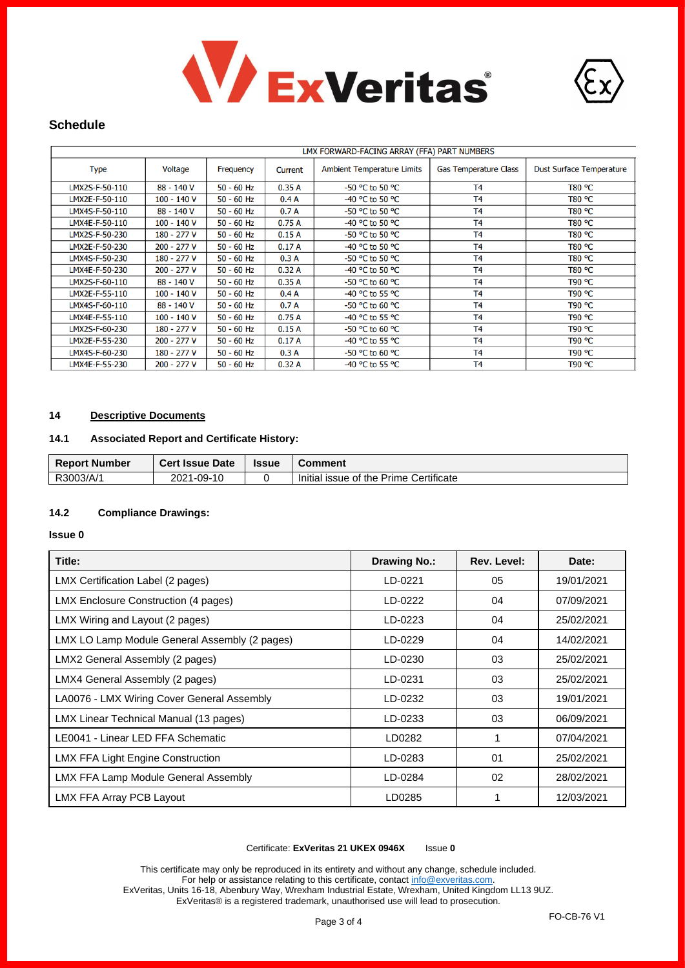



# **Schedule**

|                | LMX FORWARD-FACING ARRAY (FFA) PART NUMBERS |              |         |                                   |                              |                                 |
|----------------|---------------------------------------------|--------------|---------|-----------------------------------|------------------------------|---------------------------------|
| <b>Type</b>    | Voltage                                     | Frequency    | Current | <b>Ambient Temperature Limits</b> | <b>Gas Temperature Class</b> | <b>Dust Surface Temperature</b> |
| LMX2S-F-50-110 | 88 - 140 V                                  | $50 - 60$ Hz | 0.35A   | -50 °C to 50 °C                   | T <sub>4</sub>               | T80 °C                          |
| LMX2E-F-50-110 | 100 - 140 V                                 | $50 - 60$ Hz | 0.4A    | -40 °C to 50 °C                   | T <sub>4</sub>               | T80 °C                          |
| LMX4S-F-50-110 | 88 - 140 V                                  | $50 - 60$ Hz | 0.7A    | -50 °C to 50 °C                   | T <sub>4</sub>               | T80 °C                          |
| LMX4E-F-50-110 | 100 - 140 V                                 | $50 - 60$ Hz | 0.75A   | -40 °C to 50 °C                   | T <sub>4</sub>               | T80 °C                          |
| LMX2S-F-50-230 | 180 - 277 V                                 | 50 - 60 Hz   | 0.15A   | -50 °C to 50 °C                   | T <sub>4</sub>               | T80 °C                          |
| LMX2E-F-50-230 | 200 - 277 V                                 | $50 - 60$ Hz | 0.17A   | -40 °C to 50 °C                   | T <sub>4</sub>               | T80 °C                          |
| LMX4S-F-50-230 | 180 - 277 V                                 | $50 - 60$ Hz | 0.3A    | -50 °C to 50 °C                   | T <sub>4</sub>               | T80 °C                          |
| LMX4E-F-50-230 | 200 - 277 V                                 | $50 - 60$ Hz | 0.32A   | -40 °C to 50 °C                   | T <sub>4</sub>               | T80 °C                          |
| LMX2S-F-60-110 | 88 - 140 V                                  | $50 - 60$ Hz | 0.35A   | $-50$ °C to 60 °C                 | T <sub>4</sub>               | <b>T90 °C</b>                   |
| LMX2E-F-55-110 | 100 - 140 V                                 | $50 - 60$ Hz | 0.4A    | -40 °C to 55 °C                   | T <sub>4</sub>               | <b>T90 °C</b>                   |
| LMX4S-F-60-110 | 88 - 140 V                                  | 50 - 60 Hz   | 0.7A    | -50 °C to 60 °C                   | T <sub>4</sub>               | T90 °C                          |
| LMX4E-F-55-110 | $100 - 140V$                                | $50 - 60$ Hz | 0.75A   | -40 °C to 55 °C                   | T <sub>4</sub>               | T90 °C                          |
| LMX2S-F-60-230 | 180 - 277 V                                 | 50 - 60 Hz   | 0.15A   | -50 °C to 60 °C                   | T <sub>4</sub>               | T90 °C                          |
| LMX2E-F-55-230 | 200 - 277 V                                 | $50 - 60$ Hz | 0.17A   | -40 °C to 55 °C                   | T <sub>4</sub>               | T90 °C                          |
| LMX4S-F-60-230 | 180 - 277 V                                 | 50 - 60 Hz   | 0.3A    | -50 °C to 60 °C                   | T <sub>4</sub>               | T90 °C                          |
| LMX4E-F-55-230 | 200 - 277 V                                 | $50 - 60$ Hz | 0.32A   | -40 °C to 55 °C                   | T <sub>4</sub>               | T90 °C                          |

### **14 Descriptive Documents**

### **14.1 Associated Report and Certificate History:**

| <b>Report Number</b> | <b>Cert Issue Date</b> | <b>Issue</b> | Comment                                |
|----------------------|------------------------|--------------|----------------------------------------|
| R3003/A/1            | 1-09-10<br>2021        |              | Initial issue of the Prime Certificate |

### **14.2 Compliance Drawings:**

### **Issue 0**

| Title:                                        | <b>Drawing No.:</b> | Rev. Level: | Date:      |
|-----------------------------------------------|---------------------|-------------|------------|
| LMX Certification Label (2 pages)             | LD-0221             | 05          | 19/01/2021 |
| LMX Enclosure Construction (4 pages)          | LD-0222             | 04          | 07/09/2021 |
| LMX Wiring and Layout (2 pages)               | LD-0223             | 04          | 25/02/2021 |
| LMX LO Lamp Module General Assembly (2 pages) | LD-0229             | 04          | 14/02/2021 |
| LMX2 General Assembly (2 pages)               | LD-0230             | 03          | 25/02/2021 |
| LMX4 General Assembly (2 pages)               | LD-0231             | 03          | 25/02/2021 |
| LA0076 - LMX Wiring Cover General Assembly    | LD-0232             | 03          | 19/01/2021 |
| LMX Linear Technical Manual (13 pages)        | LD-0233             | 03          | 06/09/2021 |
| LE0041 - Linear LED FFA Schematic             | LD0282              | 1           | 07/04/2021 |
| LMX FFA Light Engine Construction             | LD-0283             | 01          | 25/02/2021 |
| LMX FFA Lamp Module General Assembly          | LD-0284             | 02          | 28/02/2021 |
| LMX FFA Array PCB Layout                      | LD0285              |             | 12/03/2021 |

#### Certificate: **ExVeritas 21 UKEX 0946X** Issue **0**

This certificate may only be reproduced in its entirety and without any change, schedule included. For help or assistance relating to this certificate, contac[t info@exveritas.com.](mailto:info@exveritas.com) ExVeritas, Units 16-18, Abenbury Way, Wrexham Industrial Estate, Wrexham, United Kingdom LL13 9UZ. ExVeritas® is a registered trademark, unauthorised use will lead to prosecution.